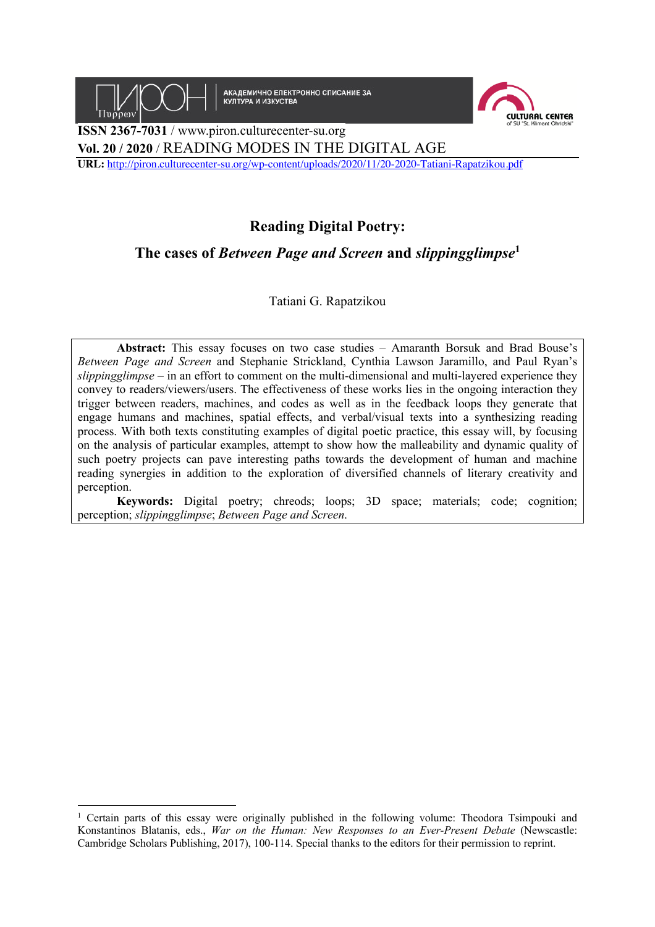

**АКАДЕМИЧНО ЕЛЕКТРОННО СПИСАНИЕ ЗА КУЛТУРА И ИЗКУСТВА** 



**ISSN 2367-7031** / www.piron.culturecenter-su.org **Vol. 20 / 2020** / READING MODES IN THE DIGITAL AGE

**URL:** http://piron.culturecenter-su.org/wp-content/uploads/2020/11/20-2020-Tatiani-Rapatzikou.pdf

## **Reading Digital Poetry:**

**The cases of** *Between Page and Screen* **and** *slippingglimpse***<sup>1</sup>**

Tatiani G. Rapatzikou

**Abstract:** This essay focuses on two case studies – Amaranth Borsuk and Brad Bouse's *Between Page and Screen* and Stephanie Strickland, Cynthia Lawson Jaramillo, and Paul Ryan's *slippingglimpse* – in an effort to comment on the multi-dimensional and multi-layered experience they convey to readers/viewers/users. The effectiveness of these works lies in the ongoing interaction they trigger between readers, machines, and codes as well as in the feedback loops they generate that engage humans and machines, spatial effects, and verbal/visual texts into a synthesizing reading process. With both texts constituting examples of digital poetic practice, this essay will, by focusing on the analysis of particular examples, attempt to show how the malleability and dynamic quality of such poetry projects can pave interesting paths towards the development of human and machine reading synergies in addition to the exploration of diversified channels of literary creativity and perception.

**Keywords:** Digital poetry; chreods; loops; 3D space; materials; code; cognition; perception; *slippingglimpse*; *Between Page and Screen*.

<sup>&</sup>lt;sup>1</sup> Certain parts of this essay were originally published in the following volume: Theodora Tsimpouki and Konstantinos Blatanis, eds., *War on the Human: New Responses to an Ever-Present Debate* (Newscastle: Cambridge Scholars Publishing, 2017), 100-114. Special thanks to the editors for their permission to reprint.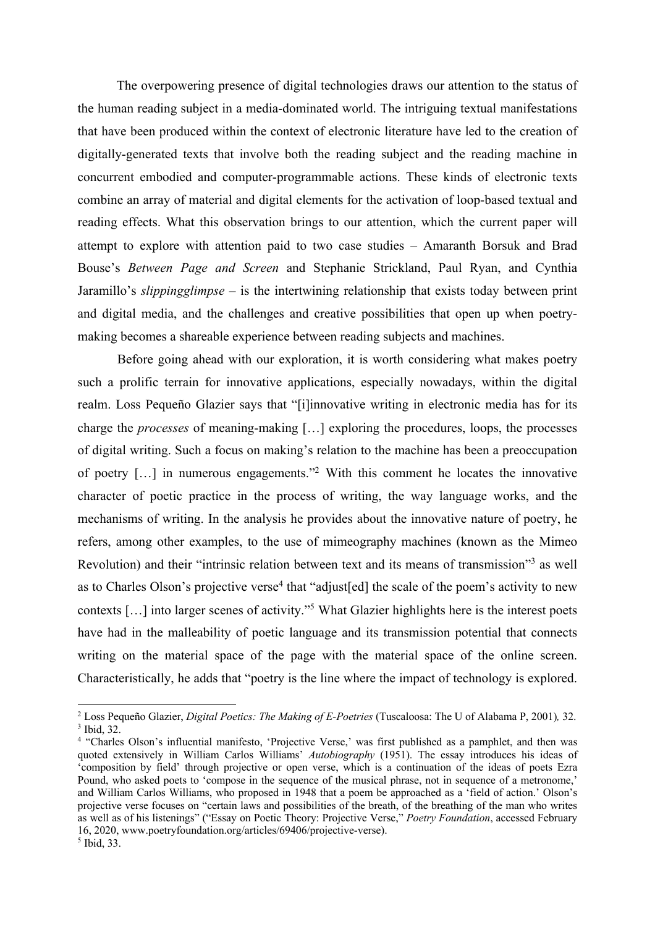The overpowering presence of digital technologies draws our attention to the status of the human reading subject in a media-dominated world. The intriguing textual manifestations that have been produced within the context of electronic literature have led to the creation of digitally-generated texts that involve both the reading subject and the reading machine in concurrent embodied and computer-programmable actions. These kinds of electronic texts combine an array of material and digital elements for the activation of loop-based textual and reading effects. What this observation brings to our attention, which the current paper will attempt to explore with attention paid to two case studies – Amaranth Borsuk and Brad Bouse's *Between Page and Screen* and Stephanie Strickland, Paul Ryan, and Cynthia Jaramillo's *slippingglimpse* – is the intertwining relationship that exists today between print and digital media, and the challenges and creative possibilities that open up when poetrymaking becomes a shareable experience between reading subjects and machines.

Before going ahead with our exploration, it is worth considering what makes poetry such a prolific terrain for innovative applications, especially nowadays, within the digital realm. Loss Pequeño Glazier says that "[i]innovative writing in electronic media has for its charge the *processes* of meaning-making […] exploring the procedures, loops, the processes of digital writing. Such a focus on making's relation to the machine has been a preoccupation of poetry […] in numerous engagements."2 With this comment he locates the innovative character of poetic practice in the process of writing, the way language works, and the mechanisms of writing. In the analysis he provides about the innovative nature of poetry, he refers, among other examples, to the use of mimeography machines (known as the Mimeo Revolution) and their "intrinsic relation between text and its means of transmission"<sup>3</sup> as well as to Charles Olson's projective verse<sup>4</sup> that "adjust [ed] the scale of the poem's activity to new contexts […] into larger scenes of activity."5 What Glazier highlights here is the interest poets have had in the malleability of poetic language and its transmission potential that connects writing on the material space of the page with the material space of the online screen. Characteristically, he adds that "poetry is the line where the impact of technology is explored.

<sup>2</sup> Loss Pequeño Glazier, *Digital Poetics: The Making of E-Poetries* (Tuscaloosa: The U of Alabama P, 2001)*,* 32. <sup>3</sup> Ibid, 32.

<sup>4</sup> "Charles Olson's influential manifesto, 'Projective Verse,' was first published as a pamphlet, and then was quoted extensively in William Carlos Williams' *Autobiography* (1951). The essay introduces his ideas of 'composition by field' through projective or open verse, which is a continuation of the ideas of poets Ezra Pound, who asked poets to 'compose in the sequence of the musical phrase, not in sequence of a metronome,' and William Carlos Williams, who proposed in 1948 that a poem be approached as a 'field of action.' Olson's projective verse focuses on "certain laws and possibilities of the breath, of the breathing of the man who writes as well as of his listenings" ("Essay on Poetic Theory: Projective Verse," *Poetry Foundation*, accessed February 16, 2020, www.poetryfoundation.org/articles/69406/projective-verse).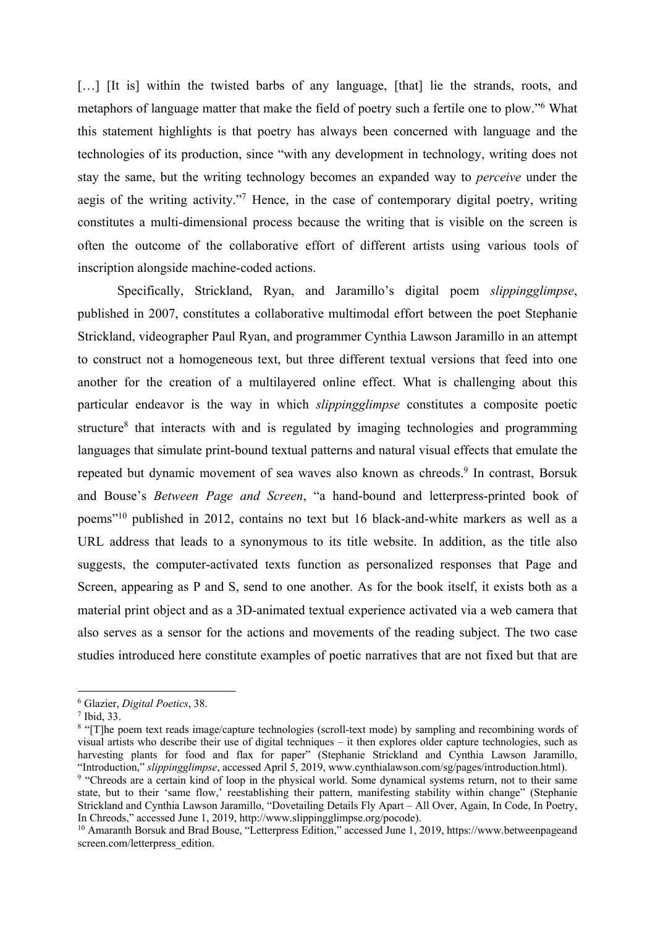[...] [It is] within the twisted barbs of any language, [that] lie the strands, roots, and metaphors of language matter that make the field of poetry such a fertile one to plow."6 What this statement highlights is that poetry has always been concerned with language and the technologies of its production, since "with any development in technology, writing does not stay the same, but the writing technology becomes an expanded way to *perceive* under the aegis of the writing activity."7 Hence, in the case of contemporary digital poetry, writing constitutes a multi-dimensional process because the writing that is visible on the screen is often the outcome of the collaborative effort of different artists using various tools of inscription alongside machine-coded actions.

Specifically, Strickland, Ryan, and Jaramillo's digital poem *slippingglimpse*, published in 2007, constitutes a collaborative multimodal effort between the poet Stephanie Strickland, videographer Paul Ryan, and programmer Cynthia Lawson Jaramillo in an attempt to construct not a homogeneous text, but three different textual versions that feed into one another for the creation of a multilayered online effect. What is challenging about this particular endeavor is the way in which *slippingglimpse* constitutes a composite poetic structure<sup>8</sup> that interacts with and is regulated by imaging technologies and programming languages that simulate print-bound textual patterns and natural visual effects that emulate the repeated but dynamic movement of sea waves also known as chreods. <sup>9</sup> In contrast, Borsuk and Bouse's *Between Page and Screen*, "a hand-bound and letterpress-printed book of poems"10 published in 2012, contains no text but 16 black-and-white markers as well as a URL address that leads to a synonymous to its title website. In addition, as the title also suggests, the computer-activated texts function as personalized responses that Page and Screen, appearing as P and S, send to one another. As for the book itself, it exists both as a material print object and as a 3D-animated textual experience activated via a web camera that also serves as a sensor for the actions and movements of the reading subject. The two case studies introduced here constitute examples of poetic narratives that are not fixed but that are

<sup>6</sup> Glazier, *Digital Poetics*, 38.

<sup>7</sup> Ibid, 33.

<sup>&</sup>lt;sup>8</sup> "[T]he poem text reads image/capture technologies (scroll-text mode) by sampling and recombining words of visual artists who describe their use of digital techniques – it then explores older capture technologies, such as harvesting plants for food and flax for paper" (Stephanie Strickland and Cynthia Lawson Jaramillo, "Introduction," *slippingglimpse*, accessed April 5, 2019, www.cynthialawson.com/sg/pages/introduction.html).

<sup>&</sup>lt;sup>9</sup> "Chreods are a certain kind of loop in the physical world. Some dynamical systems return, not to their same state, but to their 'same flow,' reestablishing their pattern, manifesting stability within change" (Stephanie Strickland and Cynthia Lawson Jaramillo, "Dovetailing Details Fly Apart – All Over, Again, In Code, In Poetry, In Chreods," accessed June 1, 2019, http://www.slippingglimpse.org/pocode).

<sup>&</sup>lt;sup>10</sup> Amaranth Borsuk and Brad Bouse, "Letterpress Edition," accessed June 1, 2019, https://www.betweenpageand screen.com/letterpress\_edition.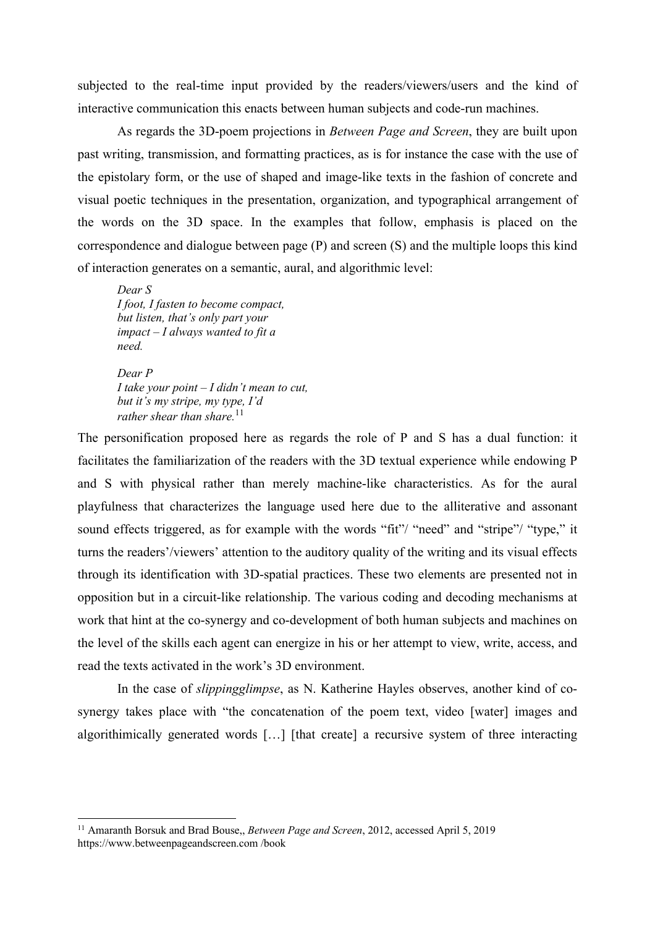subjected to the real-time input provided by the readers/viewers/users and the kind of interactive communication this enacts between human subjects and code-run machines.

As regards the 3D-poem projections in *Between Page and Screen*, they are built upon past writing, transmission, and formatting practices, as is for instance the case with the use of the epistolary form, or the use of shaped and image-like texts in the fashion of concrete and visual poetic techniques in the presentation, organization, and typographical arrangement of the words on the 3D space. In the examples that follow, emphasis is placed on the correspondence and dialogue between page (P) and screen (S) and the multiple loops this kind of interaction generates on a semantic, aural, and algorithmic level:

*Dear S I foot, I fasten to become compact, but listen, that's only part your impact – I always wanted to fit a need.*

*Dear P I take your point – I didn't mean to cut, but it's my stripe, my type, I'd rather shear than share.*<sup>11</sup>

The personification proposed here as regards the role of P and S has a dual function: it facilitates the familiarization of the readers with the 3D textual experience while endowing P and S with physical rather than merely machine-like characteristics. As for the aural playfulness that characterizes the language used here due to the alliterative and assonant sound effects triggered, as for example with the words "fit"/ "need" and "stripe"/ "type," it turns the readers'/viewers' attention to the auditory quality of the writing and its visual effects through its identification with 3D-spatial practices. These two elements are presented not in opposition but in a circuit-like relationship. The various coding and decoding mechanisms at work that hint at the co-synergy and co-development of both human subjects and machines on the level of the skills each agent can energize in his or her attempt to view, write, access, and read the texts activated in the work's 3D environment.

In the case of *slippingglimpse*, as N. Katherine Hayles observes, another kind of cosynergy takes place with "the concatenation of the poem text, video [water] images and algorithimically generated words […] [that create] a recursive system of three interacting

<sup>11</sup> Amaranth Borsuk and Brad Bouse,, *Between Page and Screen*, 2012, accessed April 5, 2019 https://www.betweenpageandscreen.com /book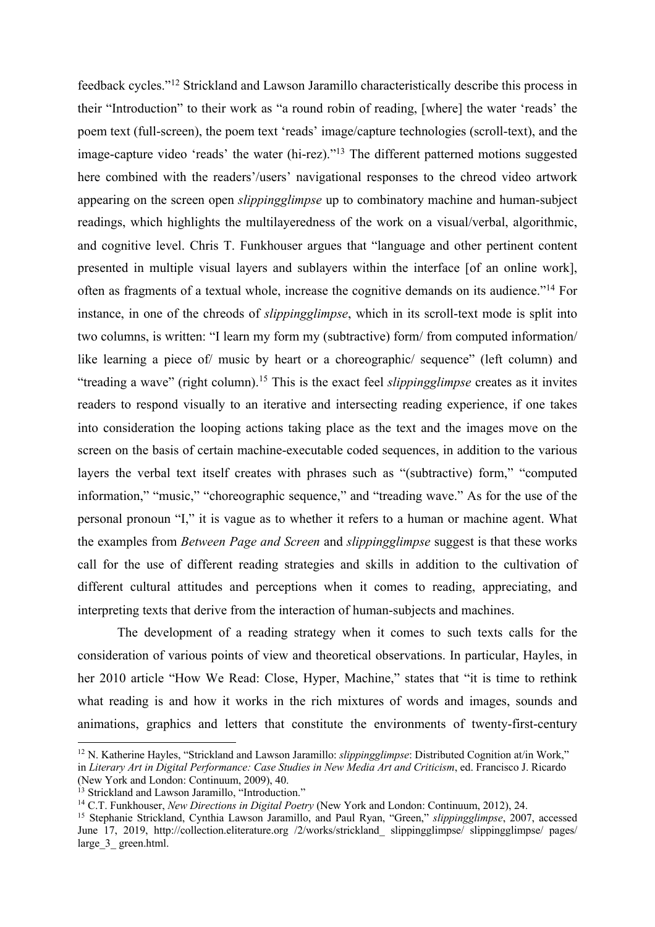feedback cycles."12 Strickland and Lawson Jaramillo characteristically describe this process in their "Introduction" to their work as "a round robin of reading, [where] the water 'reads' the poem text (full-screen), the poem text 'reads' image/capture technologies (scroll-text), and the image-capture video 'reads' the water (hi-rez)."13 The different patterned motions suggested here combined with the readers'/users' navigational responses to the chreod video artwork appearing on the screen open *slippingglimpse* up to combinatory machine and human-subject readings, which highlights the multilayeredness of the work on a visual/verbal, algorithmic, and cognitive level. Chris T. Funkhouser argues that "language and other pertinent content presented in multiple visual layers and sublayers within the interface [of an online work], often as fragments of a textual whole, increase the cognitive demands on its audience."14 For instance, in one of the chreods of *slippingglimpse*, which in its scroll-text mode is split into two columns, is written: "I learn my form my (subtractive) form/ from computed information/ like learning a piece of/ music by heart or a choreographic/ sequence" (left column) and "treading a wave" (right column).15 This is the exact feel *slippingglimpse* creates as it invites readers to respond visually to an iterative and intersecting reading experience, if one takes into consideration the looping actions taking place as the text and the images move on the screen on the basis of certain machine-executable coded sequences, in addition to the various layers the verbal text itself creates with phrases such as "(subtractive) form," "computed information," "music," "choreographic sequence," and "treading wave." As for the use of the personal pronoun "I," it is vague as to whether it refers to a human or machine agent. What the examples from *Between Page and Screen* and *slippingglimpse* suggest is that these works call for the use of different reading strategies and skills in addition to the cultivation of different cultural attitudes and perceptions when it comes to reading, appreciating, and interpreting texts that derive from the interaction of human-subjects and machines.

The development of a reading strategy when it comes to such texts calls for the consideration of various points of view and theoretical observations. In particular, Hayles, in her 2010 article "How We Read: Close, Hyper, Machine," states that "it is time to rethink what reading is and how it works in the rich mixtures of words and images, sounds and animations, graphics and letters that constitute the environments of twenty-first-century

<sup>&</sup>lt;sup>12</sup> N. Katherine Hayles, "Strickland and Lawson Jaramillo: *slippingglimpse*: Distributed Cognition at/in Work," in *Literary Art in Digital Performance: Case Studies in New Media Art and Criticism*, ed. Francisco J. Ricardo (New York and London: Continuum, 2009), 40.

<sup>&</sup>lt;sup>13</sup> Strickland and Lawson Jaramillo, "Introduction."

<sup>14</sup> C.T. Funkhouser, *New Directions in Digital Poetry* (New York and London: Continuum, 2012), 24.

<sup>15</sup> Stephanie Strickland, Cynthia Lawson Jaramillo, and Paul Ryan, "Green," *slippingglimpse*, 2007, accessed June 17, 2019, http://collection.eliterature.org /2/works/strickland\_ slippingglimpse/ slippingglimpse/ pages/ large 3 green.html.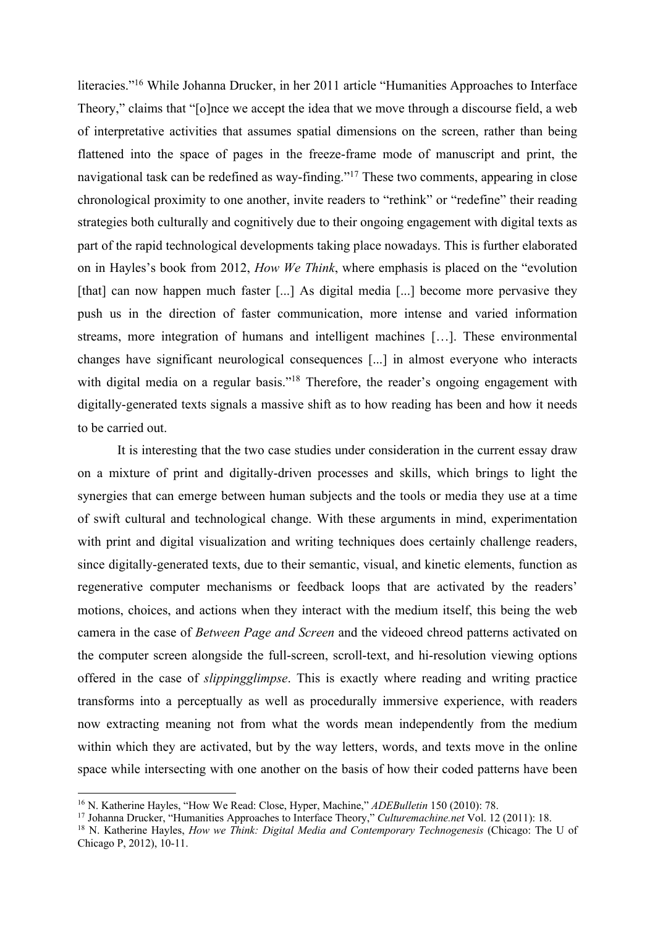literacies."16 While Johanna Drucker, in her 2011 article "Humanities Approaches to Interface Theory," claims that "[o]nce we accept the idea that we move through a discourse field, a web of interpretative activities that assumes spatial dimensions on the screen, rather than being flattened into the space of pages in the freeze-frame mode of manuscript and print, the navigational task can be redefined as way-finding."17 These two comments, appearing in close chronological proximity to one another, invite readers to "rethink" or "redefine" their reading strategies both culturally and cognitively due to their ongoing engagement with digital texts as part of the rapid technological developments taking place nowadays. This is further elaborated on in Hayles's book from 2012, *How We Think*, where emphasis is placed on the "evolution [that] can now happen much faster [...] As digital media [...] become more pervasive they push us in the direction of faster communication, more intense and varied information streams, more integration of humans and intelligent machines […]. These environmental changes have significant neurological consequences [...] in almost everyone who interacts with digital media on a regular basis."<sup>18</sup> Therefore, the reader's ongoing engagement with digitally-generated texts signals a massive shift as to how reading has been and how it needs to be carried out.

It is interesting that the two case studies under consideration in the current essay draw on a mixture of print and digitally-driven processes and skills, which brings to light the synergies that can emerge between human subjects and the tools or media they use at a time of swift cultural and technological change. With these arguments in mind, experimentation with print and digital visualization and writing techniques does certainly challenge readers, since digitally-generated texts, due to their semantic, visual, and kinetic elements, function as regenerative computer mechanisms or feedback loops that are activated by the readers' motions, choices, and actions when they interact with the medium itself, this being the web camera in the case of *Between Page and Screen* and the videoed chreod patterns activated on the computer screen alongside the full-screen, scroll-text, and hi-resolution viewing options offered in the case of *slippingglimpse*. This is exactly where reading and writing practice transforms into a perceptually as well as procedurally immersive experience, with readers now extracting meaning not from what the words mean independently from the medium within which they are activated, but by the way letters, words, and texts move in the online space while intersecting with one another on the basis of how their coded patterns have been

<sup>16</sup> N. Katherine Hayles, "How We Read: Close, Hyper, Machine," *ADEBulletin* 150 (2010): 78.

<sup>17</sup> Johanna Drucker, "Humanities Approaches to Interface Theory," *Culturemachine.net* Vol. 12 (2011): 18.

<sup>18</sup> N. Katherine Hayles, *How we Think: Digital Media and Contemporary Technogenesis* (Chicago: The U of Chicago P, 2012), 10-11.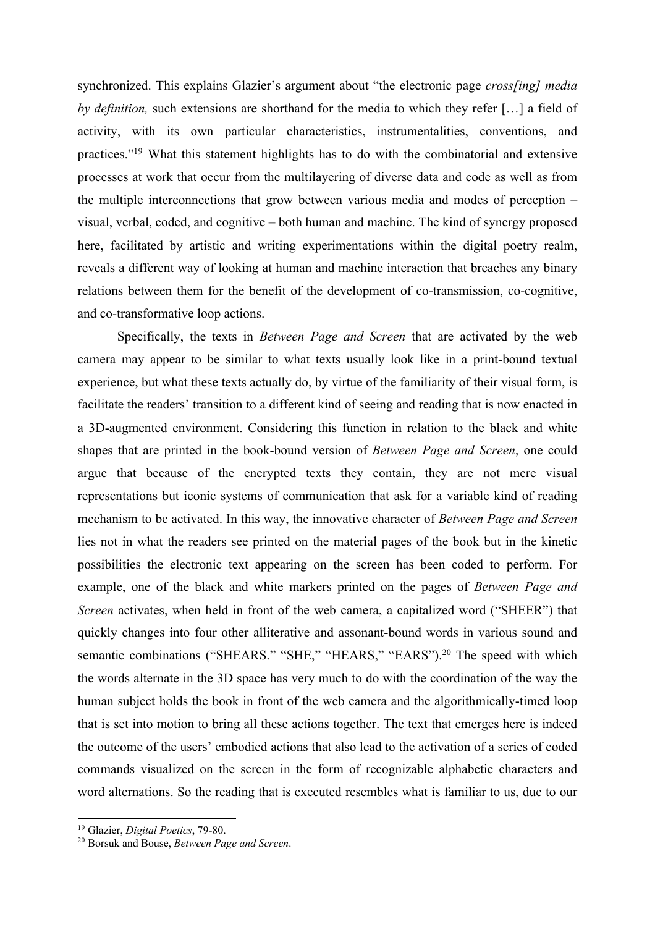synchronized. This explains Glazier's argument about "the electronic page *cross[ing] media by definition,* such extensions are shorthand for the media to which they refer […] a field of activity, with its own particular characteristics, instrumentalities, conventions, and practices."19 What this statement highlights has to do with the combinatorial and extensive processes at work that occur from the multilayering of diverse data and code as well as from the multiple interconnections that grow between various media and modes of perception – visual, verbal, coded, and cognitive – both human and machine. The kind of synergy proposed here, facilitated by artistic and writing experimentations within the digital poetry realm, reveals a different way of looking at human and machine interaction that breaches any binary relations between them for the benefit of the development of co-transmission, co-cognitive, and co-transformative loop actions.

Specifically, the texts in *Between Page and Screen* that are activated by the web camera may appear to be similar to what texts usually look like in a print-bound textual experience, but what these texts actually do, by virtue of the familiarity of their visual form, is facilitate the readers' transition to a different kind of seeing and reading that is now enacted in a 3D-augmented environment. Considering this function in relation to the black and white shapes that are printed in the book-bound version of *Between Page and Screen*, one could argue that because of the encrypted texts they contain, they are not mere visual representations but iconic systems of communication that ask for a variable kind of reading mechanism to be activated. In this way, the innovative character of *Between Page and Screen* lies not in what the readers see printed on the material pages of the book but in the kinetic possibilities the electronic text appearing on the screen has been coded to perform. For example, one of the black and white markers printed on the pages of *Between Page and Screen* activates, when held in front of the web camera, a capitalized word ("SHEER") that quickly changes into four other alliterative and assonant-bound words in various sound and semantic combinations ("SHEARS." "SHE," "HEARS," "EARS").<sup>20</sup> The speed with which the words alternate in the 3D space has very much to do with the coordination of the way the human subject holds the book in front of the web camera and the algorithmically-timed loop that is set into motion to bring all these actions together. The text that emerges here is indeed the outcome of the users' embodied actions that also lead to the activation of a series of coded commands visualized on the screen in the form of recognizable alphabetic characters and word alternations. So the reading that is executed resembles what is familiar to us, due to our

<sup>19</sup> Glazier, *Digital Poetics*, 79-80.

<sup>20</sup> Borsuk and Bouse, *Between Page and Screen*.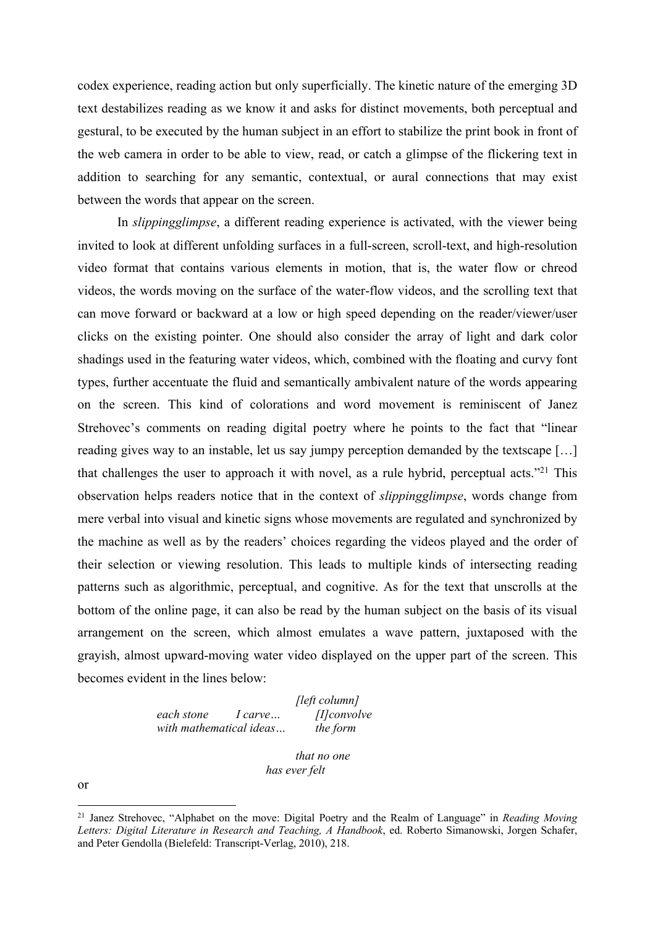codex experience, reading action but only superficially. The kinetic nature of the emerging 3D text destabilizes reading as we know it and asks for distinct movements, both perceptual and gestural, to be executed by the human subject in an effort to stabilize the print book in front of the web camera in order to be able to view, read, or catch a glimpse of the flickering text in addition to searching for any semantic, contextual, or aural connections that may exist between the words that appear on the screen.

In *slippingglimpse*, a different reading experience is activated, with the viewer being invited to look at different unfolding surfaces in a full-screen, scroll-text, and high-resolution video format that contains various elements in motion, that is, the water flow or chreod videos, the words moving on the surface of the water-flow videos, and the scrolling text that can move forward or backward at a low or high speed depending on the reader/viewer/user clicks on the existing pointer. One should also consider the array of light and dark color shadings used in the featuring water videos, which, combined with the floating and curvy font types, further accentuate the fluid and semantically ambivalent nature of the words appearing on the screen. This kind of colorations and word movement is reminiscent of Janez Strehovec's comments on reading digital poetry where he points to the fact that "linear reading gives way to an instable, let us say jumpy perception demanded by the textscape […] that challenges the user to approach it with novel, as a rule hybrid, perceptual acts."<sup>21</sup> This observation helps readers notice that in the context of *slippingglimpse*, words change from mere verbal into visual and kinetic signs whose movements are regulated and synchronized by the machine as well as by the readers' choices regarding the videos played and the order of their selection or viewing resolution. This leads to multiple kinds of intersecting reading patterns such as algorithmic, perceptual, and cognitive. As for the text that unscrolls at the bottom of the online page, it can also be read by the human subject on the basis of its visual arrangement on the screen, which almost emulates a wave pattern, juxtaposed with the grayish, almost upward-moving water video displayed on the upper part of the screen. This becomes evident in the lines below:

> *[left column] each stone I carve… [I]convolve with mathematical ideas… the form*

> > *that no one has ever felt*

or

<sup>21</sup> Janez Strehovec, "Alphabet on the move: Digital Poetry and the Realm of Language" in *Reading Moving Letters: Digital Literature in Research and Teaching, A Handbook*, ed. Roberto Simanowski, Jorgen Schafer, and Peter Gendolla (Bielefeld: Transcript-Verlag, 2010), 218.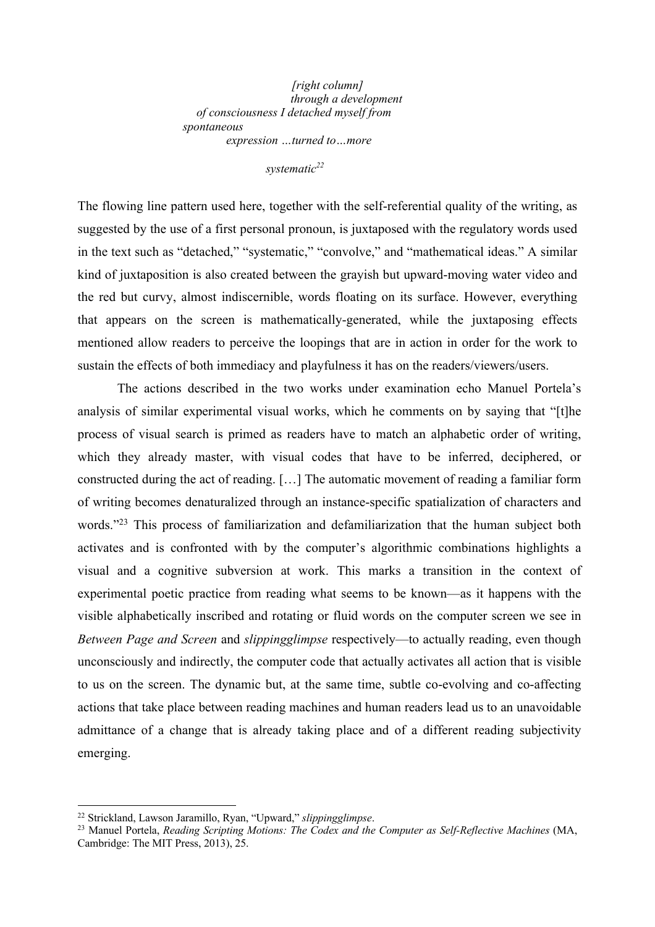*[right column] through a development of consciousness I detached myself from spontaneous expression …turned to…more*

*systematic22*

The flowing line pattern used here, together with the self-referential quality of the writing, as suggested by the use of a first personal pronoun, is juxtaposed with the regulatory words used in the text such as "detached," "systematic," "convolve," and "mathematical ideas." A similar kind of juxtaposition is also created between the grayish but upward-moving water video and the red but curvy, almost indiscernible, words floating on its surface. However, everything that appears on the screen is mathematically-generated, while the juxtaposing effects mentioned allow readers to perceive the loopings that are in action in order for the work to sustain the effects of both immediacy and playfulness it has on the readers/viewers/users.

The actions described in the two works under examination echo Manuel Portela's analysis of similar experimental visual works, which he comments on by saying that "[t]he process of visual search is primed as readers have to match an alphabetic order of writing, which they already master, with visual codes that have to be inferred, deciphered, or constructed during the act of reading. […] The automatic movement of reading a familiar form of writing becomes denaturalized through an instance-specific spatialization of characters and words."<sup>23</sup> This process of familiarization and defamiliarization that the human subject both activates and is confronted with by the computer's algorithmic combinations highlights a visual and a cognitive subversion at work. This marks a transition in the context of experimental poetic practice from reading what seems to be known—as it happens with the visible alphabetically inscribed and rotating or fluid words on the computer screen we see in *Between Page and Screen* and *slippingglimpse* respectively—to actually reading, even though unconsciously and indirectly, the computer code that actually activates all action that is visible to us on the screen. The dynamic but, at the same time, subtle co-evolving and co-affecting actions that take place between reading machines and human readers lead us to an unavoidable admittance of a change that is already taking place and of a different reading subjectivity emerging.

<sup>22</sup> Strickland, Lawson Jaramillo, Ryan, "Upward," *slippingglimpse*.

<sup>23</sup> Manuel Portela, *Reading Scripting Motions: The Codex and the Computer as Self-Reflective Machines* (MA, Cambridge: The MIT Press, 2013), 25.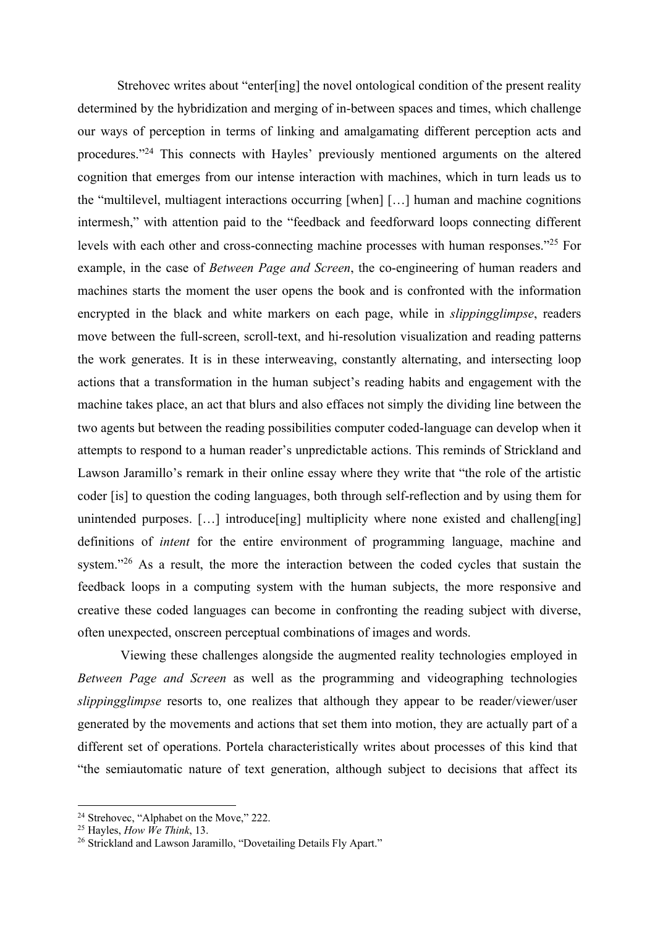Strehovec writes about "enter[ing] the novel ontological condition of the present reality determined by the hybridization and merging of in-between spaces and times, which challenge our ways of perception in terms of linking and amalgamating different perception acts and procedures."24 This connects with Hayles' previously mentioned arguments on the altered cognition that emerges from our intense interaction with machines, which in turn leads us to the "multilevel, multiagent interactions occurring [when] […] human and machine cognitions intermesh," with attention paid to the "feedback and feedforward loops connecting different levels with each other and cross-connecting machine processes with human responses."25 For example, in the case of *Between Page and Screen*, the co-engineering of human readers and machines starts the moment the user opens the book and is confronted with the information encrypted in the black and white markers on each page, while in *slippingglimpse*, readers move between the full-screen, scroll-text, and hi-resolution visualization and reading patterns the work generates. It is in these interweaving, constantly alternating, and intersecting loop actions that a transformation in the human subject's reading habits and engagement with the machine takes place, an act that blurs and also effaces not simply the dividing line between the two agents but between the reading possibilities computer coded-language can develop when it attempts to respond to a human reader's unpredictable actions. This reminds of Strickland and Lawson Jaramillo's remark in their online essay where they write that "the role of the artistic coder [is] to question the coding languages, both through self-reflection and by using them for unintended purposes. [...] introduce [ing] multiplicity where none existed and challeng [ing] definitions of *intent* for the entire environment of programming language, machine and system."<sup>26</sup> As a result, the more the interaction between the coded cycles that sustain the feedback loops in a computing system with the human subjects, the more responsive and creative these coded languages can become in confronting the reading subject with diverse, often unexpected, onscreen perceptual combinations of images and words.

Viewing these challenges alongside the augmented reality technologies employed in *Between Page and Screen* as well as the programming and videographing technologies *slippingglimpse* resorts to, one realizes that although they appear to be reader/viewer/user generated by the movements and actions that set them into motion, they are actually part of a different set of operations. Portela characteristically writes about processes of this kind that "the semiautomatic nature of text generation, although subject to decisions that affect its

<sup>&</sup>lt;sup>24</sup> Strehovec, "Alphabet on the Move," 222.

<sup>25</sup> Hayles, *How We Think*, 13.

<sup>&</sup>lt;sup>26</sup> Strickland and Lawson Jaramillo, "Dovetailing Details Fly Apart."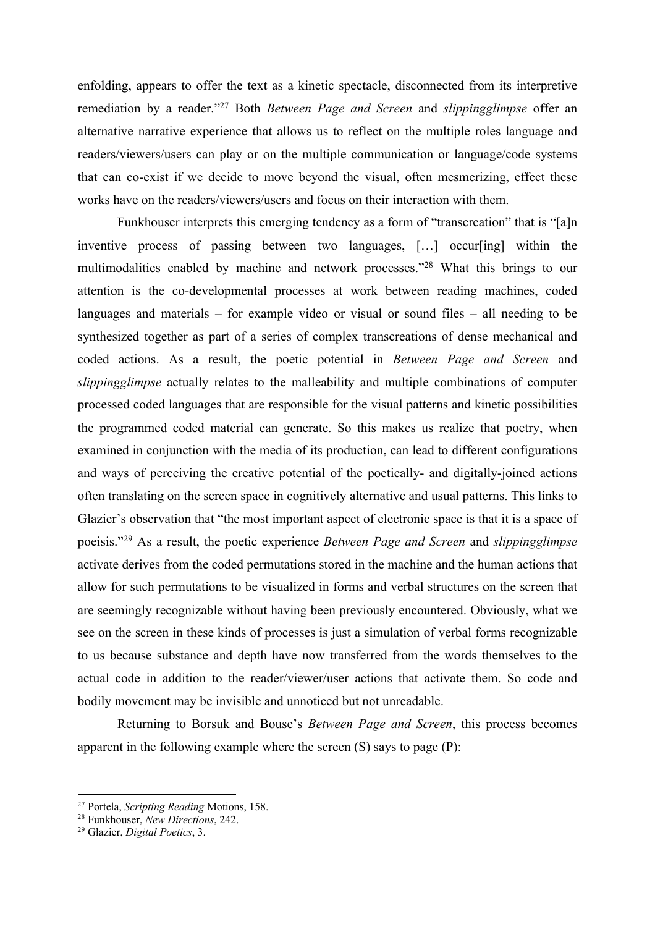enfolding, appears to offer the text as a kinetic spectacle, disconnected from its interpretive remediation by a reader."27 Both *Between Page and Screen* and *slippingglimpse* offer an alternative narrative experience that allows us to reflect on the multiple roles language and readers/viewers/users can play or on the multiple communication or language/code systems that can co-exist if we decide to move beyond the visual, often mesmerizing, effect these works have on the readers/viewers/users and focus on their interaction with them.

Funkhouser interprets this emerging tendency as a form of "transcreation" that is "[a]n inventive process of passing between two languages, […] occur[ing] within the multimodalities enabled by machine and network processes."28 What this brings to our attention is the co-developmental processes at work between reading machines, coded languages and materials – for example video or visual or sound files – all needing to be synthesized together as part of a series of complex transcreations of dense mechanical and coded actions. As a result, the poetic potential in *Between Page and Screen* and *slippingglimpse* actually relates to the malleability and multiple combinations of computer processed coded languages that are responsible for the visual patterns and kinetic possibilities the programmed coded material can generate. So this makes us realize that poetry, when examined in conjunction with the media of its production, can lead to different configurations and ways of perceiving the creative potential of the poetically- and digitally-joined actions often translating on the screen space in cognitively alternative and usual patterns. Τhis links to Glazier's observation that "the most important aspect of electronic space is that it is a space of poeisis."29 As a result, the poetic experience *Between Page and Screen* and *slippingglimpse*  activate derives from the coded permutations stored in the machine and the human actions that allow for such permutations to be visualized in forms and verbal structures on the screen that are seemingly recognizable without having been previously encountered. Obviously, what we see on the screen in these kinds of processes is just a simulation of verbal forms recognizable to us because substance and depth have now transferred from the words themselves to the actual code in addition to the reader/viewer/user actions that activate them. So code and bodily movement may be invisible and unnoticed but not unreadable.

Returning to Borsuk and Bouse's *Between Page and Screen*, this process becomes apparent in the following example where the screen (S) says to page (P):

<sup>27</sup> Portela, *Scripting Reading* Motions, 158.

<sup>28</sup> Funkhouser, *New Directions*, 242.

<sup>29</sup> Glazier, *Digital Poetics*, 3.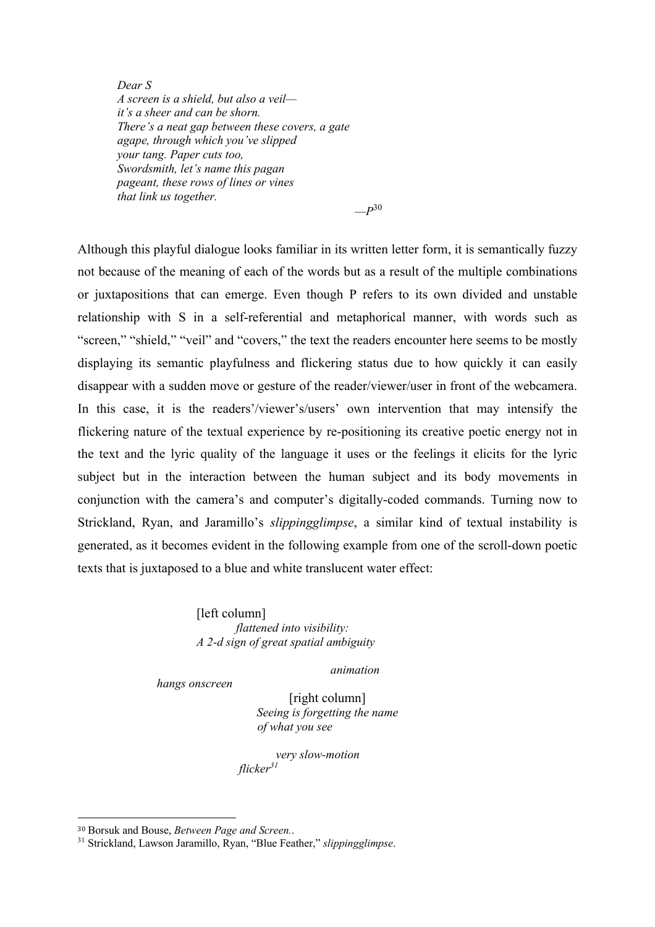*Dear S A screen is a shield, but also a veil it's a sheer and can be shorn. There's a neat gap between these covers, a gate agape, through which you've slipped your tang. Paper cuts too, Swordsmith, let's name this pagan pageant, these rows of lines or vines that link us together.*

*—P*<sup>30</sup>

Although this playful dialogue looks familiar in its written letter form, it is semantically fuzzy not because of the meaning of each of the words but as a result of the multiple combinations or juxtapositions that can emerge. Even though P refers to its own divided and unstable relationship with S in a self-referential and metaphorical manner, with words such as "screen," "shield," "veil" and "covers," the text the readers encounter here seems to be mostly displaying its semantic playfulness and flickering status due to how quickly it can easily disappear with a sudden move or gesture of the reader/viewer/user in front of the webcamera. In this case, it is the readers'/viewer's/users' own intervention that may intensify the flickering nature of the textual experience by re-positioning its creative poetic energy not in the text and the lyric quality of the language it uses or the feelings it elicits for the lyric subject but in the interaction between the human subject and its body movements in conjunction with the camera's and computer's digitally-coded commands. Turning now to Strickland, Ryan, and Jaramillo's *slippingglimpse*, a similar kind of textual instability is generated, as it becomes evident in the following example from one of the scroll-down poetic texts that is juxtaposed to a blue and white translucent water effect:

> [left column] *flattened into visibility: A 2-d sign of great spatial ambiguity*

> > *animation*

*hangs onscreen*

[right column] *Seeing is forgetting the name of what you see*

*very slow-motion flicker<sup>31</sup>*

<sup>30</sup> Borsuk and Bouse, *Between Page and Screen.*.

<sup>31</sup> Strickland, Lawson Jaramillo, Ryan, "Blue Feather," *slippingglimpse*.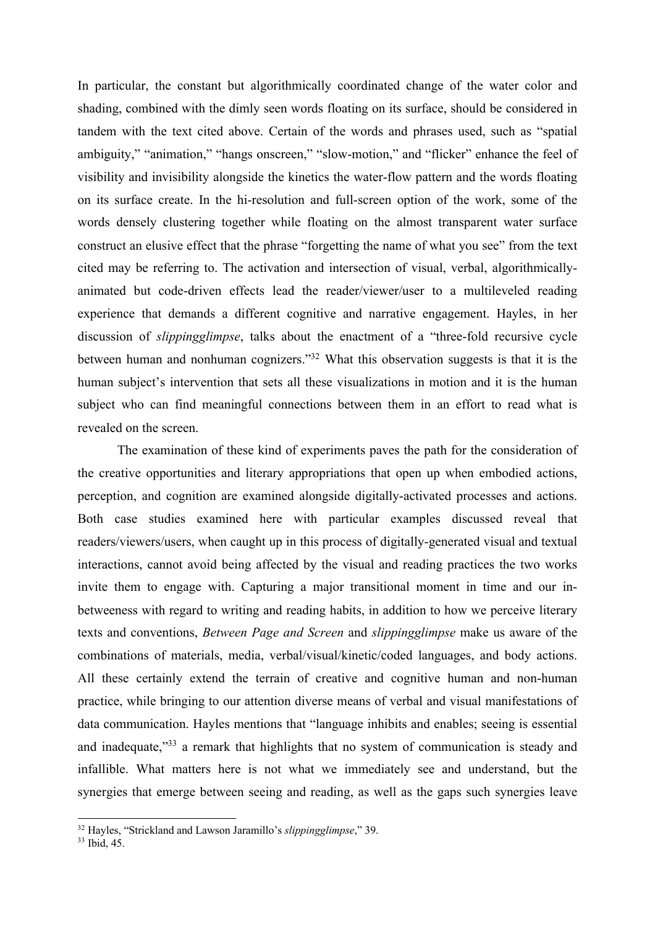In particular, the constant but algorithmically coordinated change of the water color and shading, combined with the dimly seen words floating on its surface, should be considered in tandem with the text cited above. Certain of the words and phrases used, such as "spatial ambiguity," "animation," "hangs onscreen," "slow-motion," and "flicker" enhance the feel of visibility and invisibility alongside the kinetics the water-flow pattern and the words floating on its surface create. In the hi-resolution and full-screen option of the work, some of the words densely clustering together while floating on the almost transparent water surface construct an elusive effect that the phrase "forgetting the name of what you see" from the text cited may be referring to. The activation and intersection of visual, verbal, algorithmicallyanimated but code-driven effects lead the reader/viewer/user to a multileveled reading experience that demands a different cognitive and narrative engagement. Hayles, in her discussion of *slippingglimpse*, talks about the enactment of a "three-fold recursive cycle between human and nonhuman cognizers."32 What this observation suggests is that it is the human subject's intervention that sets all these visualizations in motion and it is the human subject who can find meaningful connections between them in an effort to read what is revealed on the screen.

The examination of these kind of experiments paves the path for the consideration of the creative opportunities and literary appropriations that open up when embodied actions, perception, and cognition are examined alongside digitally-activated processes and actions. Both case studies examined here with particular examples discussed reveal that readers/viewers/users, when caught up in this process of digitally-generated visual and textual interactions, cannot avoid being affected by the visual and reading practices the two works invite them to engage with. Capturing a major transitional moment in time and our inbetweeness with regard to writing and reading habits, in addition to how we perceive literary texts and conventions, *Between Page and Screen* and *slippingglimpse* make us aware of the combinations of materials, media, verbal/visual/kinetic/coded languages, and body actions. All these certainly extend the terrain of creative and cognitive human and non-human practice, while bringing to our attention diverse means of verbal and visual manifestations of data communication. Hayles mentions that "language inhibits and enables; seeing is essential and inadequate,"33 a remark that highlights that no system of communication is steady and infallible. What matters here is not what we immediately see and understand, but the synergies that emerge between seeing and reading, as well as the gaps such synergies leave

<sup>32</sup> Hayles, "Strickland and Lawson Jaramillo's *slippingglimpse*," 39.

 $33$  Ibid,  $45$ .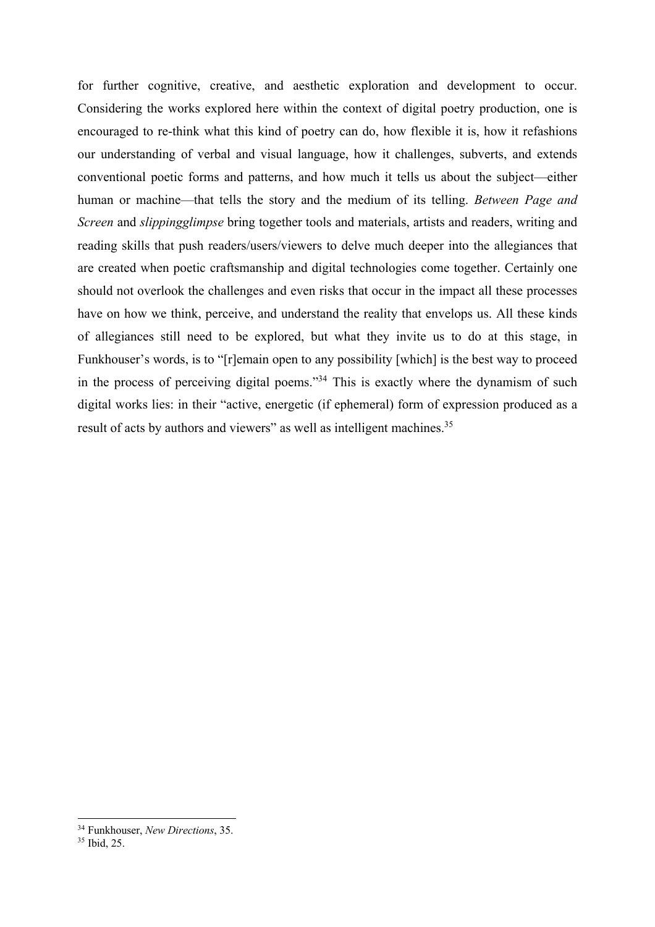for further cognitive, creative, and aesthetic exploration and development to occur. Considering the works explored here within the context of digital poetry production, one is encouraged to re-think what this kind of poetry can do, how flexible it is, how it refashions our understanding of verbal and visual language, how it challenges, subverts, and extends conventional poetic forms and patterns, and how much it tells us about the subject—either human or machine—that tells the story and the medium of its telling. *Between Page and Screen* and *slippingglimpse* bring together tools and materials, artists and readers, writing and reading skills that push readers/users/viewers to delve much deeper into the allegiances that are created when poetic craftsmanship and digital technologies come together. Certainly one should not overlook the challenges and even risks that occur in the impact all these processes have on how we think, perceive, and understand the reality that envelops us. All these kinds of allegiances still need to be explored, but what they invite us to do at this stage, in Funkhouser's words, is to "[r]emain open to any possibility [which] is the best way to proceed in the process of perceiving digital poems."34 This is exactly where the dynamism of such digital works lies: in their "active, energetic (if ephemeral) form of expression produced as a result of acts by authors and viewers" as well as intelligent machines.<sup>35</sup>

<sup>34</sup> Funkhouser, *New Directions*, 35.

<sup>35</sup> Ibid, 25.